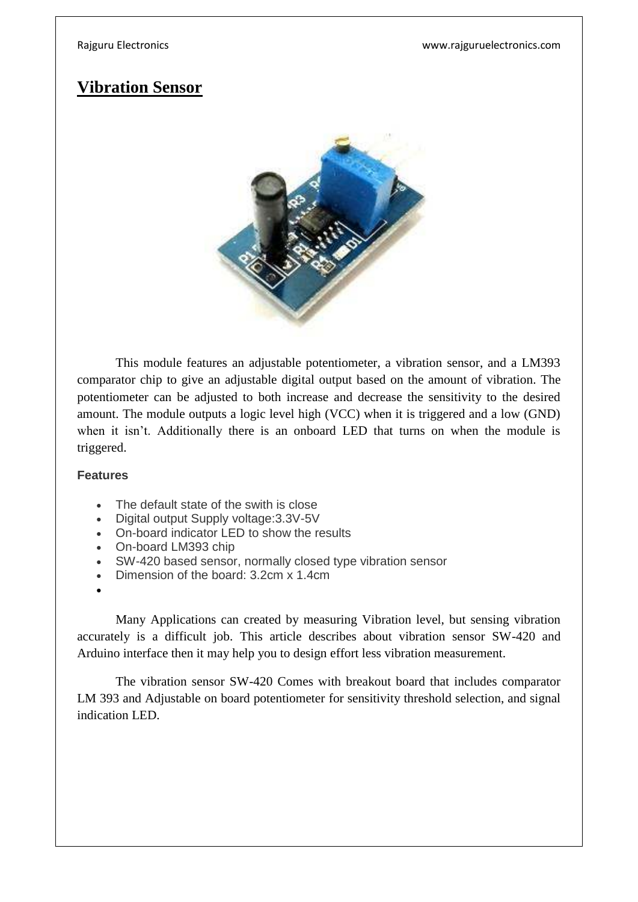# **Vibration Sensor**



This module features an adjustable potentiometer, a vibration sensor, and a LM393 comparator chip to give an adjustable digital output based on the amount of vibration. The potentiometer can be adjusted to both increase and decrease the sensitivity to the desired amount. The module outputs a logic level high (VCC) when it is triggered and a low (GND) when it isn't. Additionally there is an onboard LED that turns on when the module is triggered.

### **Features**

- The default state of the swith is close
- Digital output Supply voltage:3.3V-5V
- On-board indicator LED to show the results
- On-board LM393 chip
- SW-420 based sensor, normally closed type vibration sensor
- Dimension of the board: 3.2cm x 1.4cm
- $\bullet$

Many Applications can created by measuring Vibration level, but sensing vibration accurately is a difficult job. This article describes about vibration sensor SW-420 and Arduino interface then it may help you to design effort less vibration measurement.

The vibration sensor SW-420 Comes with breakout board that includes comparator LM 393 and Adjustable on board potentiometer for sensitivity threshold selection, and signal indication LED.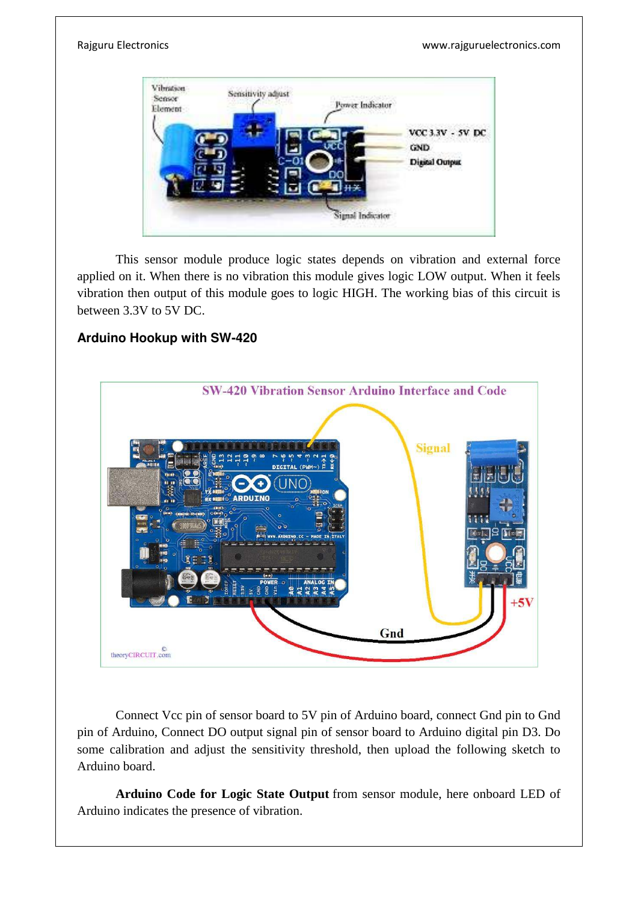Rajguru Electronics www.rajguruelectronics.com



This sensor module produce logic states depends on vibration and external force applied on it. When there is no vibration this module gives logic LOW output. When it feels vibration then output of this module goes to logic HIGH. The working bias of this circuit is between 3.3V to 5V DC.

## **Arduino Hookup with SW-420**



Connect Vcc pin of sensor board to 5V pin of Arduino board, connect Gnd pin to Gnd pin of Arduino, Connect DO output signal pin of sensor board to Arduino digital pin D3. Do some calibration and adjust the sensitivity threshold, then upload the following sketch to Arduino board.

**Arduino Code for Logic State Output** from sensor module, here onboard LED of Arduino indicates the presence of vibration.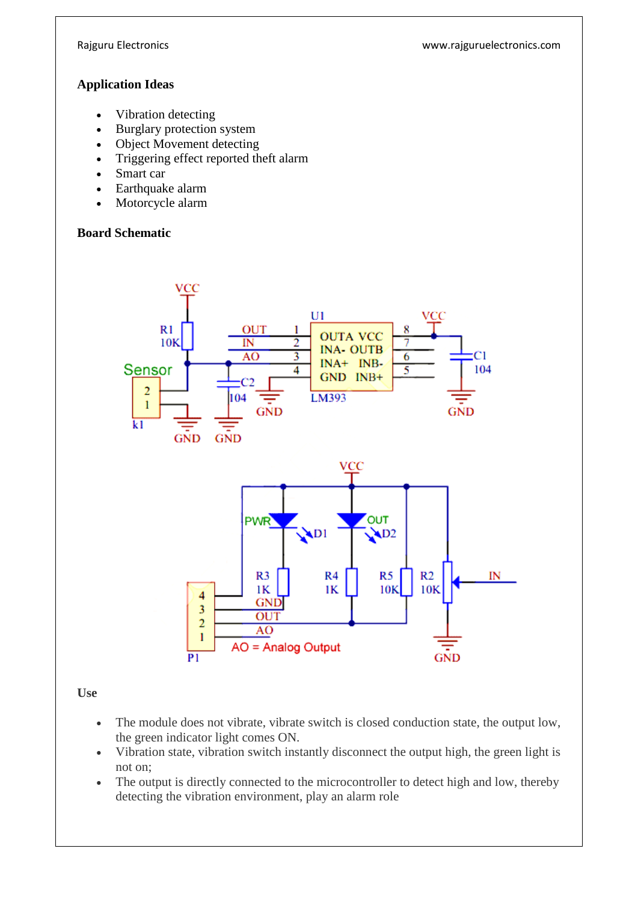Rajguru Electronics www.rajguruelectronics.com

### **Application Ideas**

- Vibration detecting
- Burglary protection system
- Object Movement detecting
- Triggering effect reported theft alarm
- Smart car
- Earthquake alarm
- Motorcycle alarm

### **Board Schematic**



**Use** 

- The module does not vibrate, vibrate switch is closed conduction state, the output low, the green indicator light comes ON.
- Vibration state, vibration switch instantly disconnect the output high, the green light is not on;
- The output is directly connected to the microcontroller to detect high and low, thereby detecting the vibration environment, play an alarm role